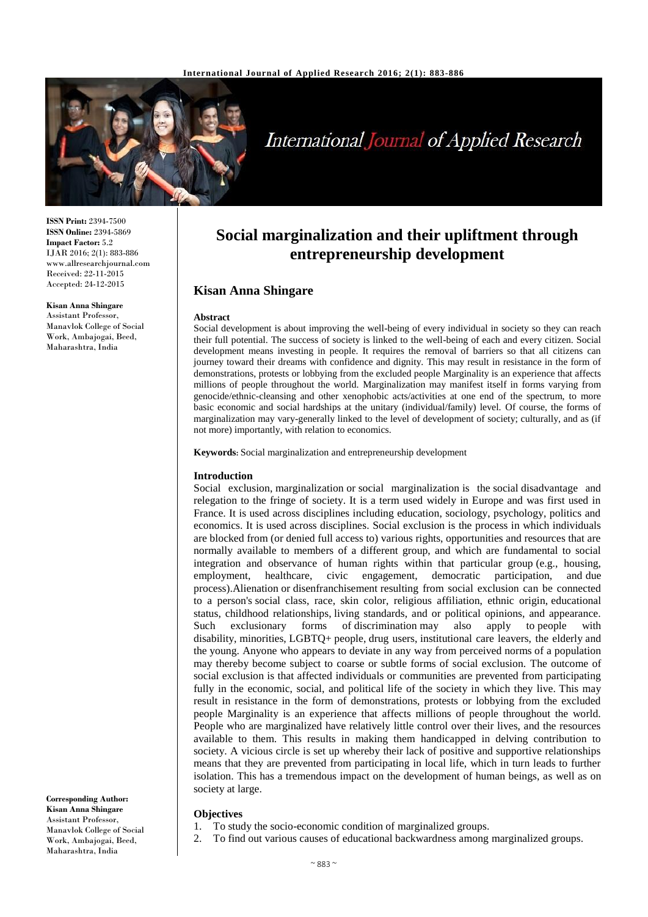

# **International Journal of Applied Research**

**ISSN Print:** 2394-7500 **ISSN Online:** 2394-5869 **Impact Factor:** 5.2 IJAR 2016; 2(1): 883-886 www.allresearchjournal.com Received: 22-11-2015 Accepted: 24-12-2015

**Kisan Anna Shingare** Assistant Professor, Manavlok College of Social Work, Ambajogai, Beed, Maharashtra, India

**Corresponding Author: Kisan Anna Shingare** Assistant Professor, Manavlok College of Social Work, Ambajogai, Beed, Maharashtra, India

## **Social marginalization and their upliftment through entrepreneurship development**

### **Kisan Anna Shingare**

#### **Abstract**

Social development is about improving the well-being of every individual in society so they can reach their full potential. The success of society is linked to the well-being of each and every citizen. Social development means investing in people. It requires the removal of barriers so that all citizens can journey toward their dreams with confidence and dignity. This may result in resistance in the form of demonstrations, protests or lobbying from the excluded people Marginality is an experience that affects millions of people throughout the world. Marginalization may manifest itself in forms varying from genocide/ethnic-cleansing and other xenophobic acts/activities at one end of the spectrum, to more basic economic and social hardships at the unitary (individual/family) level. Of course, the forms of marginalization may vary-generally linked to the level of development of society; culturally, and as (if not more) importantly, with relation to economics.

**Keywords:** Social marginalization and entrepreneurship development

#### **Introduction**

Social exclusion, marginalization or social marginalization is the social disadvantage and relegation to the fringe of society. It is a term used widely in Europe and was first used in France. It is used across disciplines including education, sociology, psychology, politics and economics. It is used across disciplines. Social exclusion is the process in which individuals are blocked from (or denied full access to) various rights, opportunities and resources that are normally available to members of a different group, and which are fundamental to social integration and observance of human rights within that particular group (e.g., housing, employment, healthcare, civic engagement, democratic participation, and due process).Alienation or disenfranchisement resulting from social exclusion can be connected to a person's social class, race, skin color, religious affiliation, ethnic origin, educational status, childhood relationships, living standards, and or political opinions, and appearance. Such exclusionary forms of discrimination may also apply to people disability, minorities, LGBTQ+ people, drug users, institutional care leavers, the elderly and the young. Anyone who appears to deviate in any way from perceived norms of a population may thereby become subject to coarse or subtle forms of social exclusion. The outcome of social exclusion is that affected individuals or communities are prevented from participating fully in the economic, social, and political life of the society in which they live. This may result in resistance in the form of demonstrations, protests or lobbying from the excluded people Marginality is an experience that affects millions of people throughout the world. People who are marginalized have relatively little control over their lives, and the resources available to them. This results in making them handicapped in delving contribution to society. A vicious circle is set up whereby their lack of positive and supportive relationships means that they are prevented from participating in local life, which in turn leads to further isolation. This has a tremendous impact on the development of human beings, as well as on society at large.

#### **Objectives**

- 1. To study the socio-economic condition of marginalized groups.
- 2. To find out various causes of educational backwardness among marginalized groups.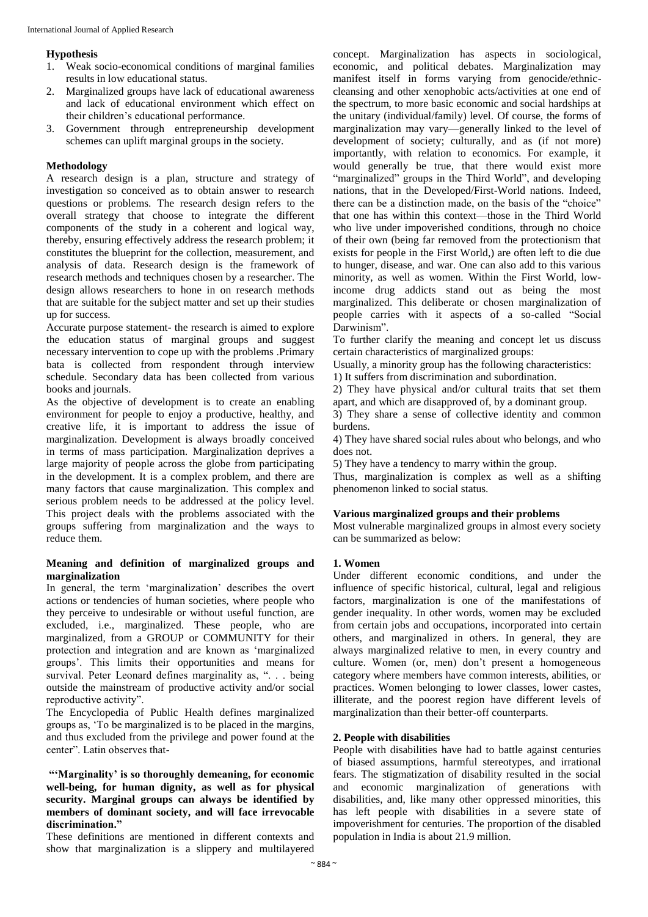#### **Hypothesis**

- 1. Weak socio-economical conditions of marginal families results in low educational status.
- 2. Marginalized groups have lack of educational awareness and lack of educational environment which effect on their children's educational performance.
- 3. Government through entrepreneurship development schemes can uplift marginal groups in the society.

#### **Methodology**

A research design is a plan, structure and strategy of investigation so conceived as to obtain answer to research questions or problems. The research design refers to the overall strategy that choose to integrate the different components of the study in a coherent and logical way, thereby, ensuring effectively address the research problem; it constitutes the blueprint for the collection, measurement, and analysis of data. Research design is the framework of research methods and techniques chosen by a researcher. The design allows researchers to hone in on research methods that are suitable for the subject matter and set up their studies up for success.

Accurate purpose statement- the research is aimed to explore the education status of marginal groups and suggest necessary intervention to cope up with the problems .Primary bata is collected from respondent through interview schedule. Secondary data has been collected from various books and journals.

As the objective of development is to create an enabling environment for people to enjoy a productive, healthy, and creative life, it is important to address the issue of marginalization. Development is always broadly conceived in terms of mass participation. Marginalization deprives a large majority of people across the globe from participating in the development. It is a complex problem, and there are many factors that cause marginalization. This complex and serious problem needs to be addressed at the policy level. This project deals with the problems associated with the groups suffering from marginalization and the ways to reduce them.

#### **Meaning and definition of marginalized groups and marginalization**

In general, the term 'marginalization' describes the overt actions or tendencies of human societies, where people who they perceive to undesirable or without useful function, are excluded, i.e., marginalized. These people, who are marginalized, from a GROUP or COMMUNITY for their protection and integration and are known as 'marginalized groups'. This limits their opportunities and means for survival. Peter Leonard defines marginality as, ". . . being outside the mainstream of productive activity and/or social reproductive activity".

The Encyclopedia of Public Health defines marginalized groups as, 'To be marginalized is to be placed in the margins, and thus excluded from the privilege and power found at the center". Latin observes that-

#### **"'Marginality' is so thoroughly demeaning, for economic well-being, for human dignity, as well as for physical security. Marginal groups can always be identified by members of dominant society, and will face irrevocable discrimination."**

These definitions are mentioned in different contexts and show that marginalization is a slippery and multilayered

concept. Marginalization has aspects in sociological, economic, and political debates. Marginalization may manifest itself in forms varying from genocide/ethniccleansing and other xenophobic acts/activities at one end of the spectrum, to more basic economic and social hardships at the unitary (individual/family) level. Of course, the forms of marginalization may vary—generally linked to the level of development of society; culturally, and as (if not more) importantly, with relation to economics. For example, it would generally be true, that there would exist more "marginalized" groups in the Third World", and developing nations, that in the Developed/First-World nations. Indeed, there can be a distinction made, on the basis of the "choice" that one has within this context—those in the Third World who live under impoverished conditions, through no choice of their own (being far removed from the protectionism that exists for people in the First World,) are often left to die due to hunger, disease, and war. One can also add to this various minority, as well as women. Within the First World, lowincome drug addicts stand out as being the most marginalized. This deliberate or chosen marginalization of people carries with it aspects of a so-called "Social Darwinism".

To further clarify the meaning and concept let us discuss certain characteristics of marginalized groups:

Usually, a minority group has the following characteristics: 1) It suffers from discrimination and subordination.

2) They have physical and/or cultural traits that set them apart, and which are disapproved of, by a dominant group.

3) They share a sense of collective identity and common burdens.

4) They have shared social rules about who belongs, and who does not.

5) They have a tendency to marry within the group.

Thus, marginalization is complex as well as a shifting phenomenon linked to social status.

#### **Various marginalized groups and their problems**

Most vulnerable marginalized groups in almost every society can be summarized as below:

#### **1. Women**

Under different economic conditions, and under the influence of specific historical, cultural, legal and religious factors, marginalization is one of the manifestations of gender inequality. In other words, women may be excluded from certain jobs and occupations, incorporated into certain others, and marginalized in others. In general, they are always marginalized relative to men, in every country and culture. Women (or, men) don't present a homogeneous category where members have common interests, abilities, or practices. Women belonging to lower classes, lower castes, illiterate, and the poorest region have different levels of marginalization than their better-off counterparts.

#### **2. People with disabilities**

People with disabilities have had to battle against centuries of biased assumptions, harmful stereotypes, and irrational fears. The stigmatization of disability resulted in the social and economic marginalization of generations with disabilities, and, like many other oppressed minorities, this has left people with disabilities in a severe state of impoverishment for centuries. The proportion of the disabled population in India is about 21.9 million.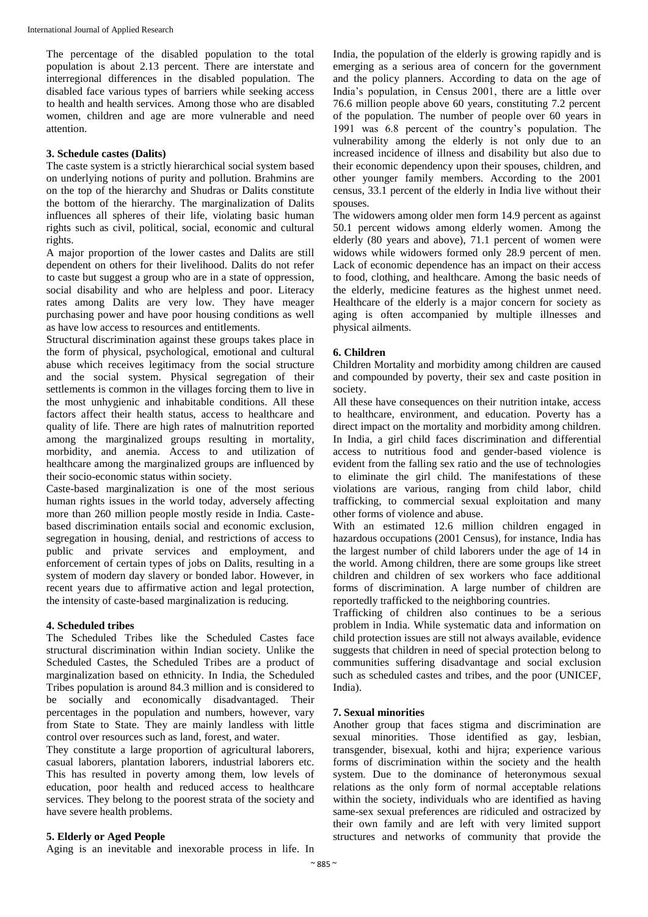The percentage of the disabled population to the total population is about 2.13 percent. There are interstate and interregional differences in the disabled population. The disabled face various types of barriers while seeking access to health and health services. Among those who are disabled women, children and age are more vulnerable and need attention.

#### **3. Schedule castes (Dalits)**

The caste system is a strictly hierarchical social system based on underlying notions of purity and pollution. Brahmins are on the top of the hierarchy and Shudras or Dalits constitute the bottom of the hierarchy. The marginalization of Dalits influences all spheres of their life, violating basic human rights such as civil, political, social, economic and cultural rights.

A major proportion of the lower castes and Dalits are still dependent on others for their livelihood. Dalits do not refer to caste but suggest a group who are in a state of oppression, social disability and who are helpless and poor. Literacy rates among Dalits are very low. They have meager purchasing power and have poor housing conditions as well as have low access to resources and entitlements.

Structural discrimination against these groups takes place in the form of physical, psychological, emotional and cultural abuse which receives legitimacy from the social structure and the social system. Physical segregation of their settlements is common in the villages forcing them to live in the most unhygienic and inhabitable conditions. All these factors affect their health status, access to healthcare and quality of life. There are high rates of malnutrition reported among the marginalized groups resulting in mortality, morbidity, and anemia. Access to and utilization of healthcare among the marginalized groups are influenced by their socio-economic status within society.

Caste-based marginalization is one of the most serious human rights issues in the world today, adversely affecting more than 260 million people mostly reside in India. Castebased discrimination entails social and economic exclusion, segregation in housing, denial, and restrictions of access to public and private services and employment, and enforcement of certain types of jobs on Dalits, resulting in a system of modern day slavery or bonded labor. However, in recent years due to affirmative action and legal protection, the intensity of caste-based marginalization is reducing.

#### **4. Scheduled tribes**

The Scheduled Tribes like the Scheduled Castes face structural discrimination within Indian society. Unlike the Scheduled Castes, the Scheduled Tribes are a product of marginalization based on ethnicity. In India, the Scheduled Tribes population is around 84.3 million and is considered to be socially and economically disadvantaged. Their percentages in the population and numbers, however, vary from State to State. They are mainly landless with little control over resources such as land, forest, and water.

They constitute a large proportion of agricultural laborers, casual laborers, plantation laborers, industrial laborers etc. This has resulted in poverty among them, low levels of education, poor health and reduced access to healthcare services. They belong to the poorest strata of the society and have severe health problems.

#### **5. Elderly or Aged People**

Aging is an inevitable and inexorable process in life. In

India, the population of the elderly is growing rapidly and is emerging as a serious area of concern for the government and the policy planners. According to data on the age of India's population, in Census 2001, there are a little over 76.6 million people above 60 years, constituting 7.2 percent of the population. The number of people over 60 years in 1991 was 6.8 percent of the country's population. The vulnerability among the elderly is not only due to an increased incidence of illness and disability but also due to their economic dependency upon their spouses, children, and other younger family members. According to the 2001 census, 33.1 percent of the elderly in India live without their spouses.

The widowers among older men form 14.9 percent as against 50.1 percent widows among elderly women. Among the elderly (80 years and above), 71.1 percent of women were widows while widowers formed only 28.9 percent of men. Lack of economic dependence has an impact on their access to food, clothing, and healthcare. Among the basic needs of the elderly, medicine features as the highest unmet need. Healthcare of the elderly is a major concern for society as aging is often accompanied by multiple illnesses and physical ailments.

#### **6. Children**

Children Mortality and morbidity among children are caused and compounded by poverty, their sex and caste position in society.

All these have consequences on their nutrition intake, access to healthcare, environment, and education. Poverty has a direct impact on the mortality and morbidity among children. In India, a girl child faces discrimination and differential access to nutritious food and gender-based violence is evident from the falling sex ratio and the use of technologies to eliminate the girl child. The manifestations of these violations are various, ranging from child labor, child trafficking, to commercial sexual exploitation and many other forms of violence and abuse.

With an estimated 12.6 million children engaged in hazardous occupations (2001 Census), for instance, India has the largest number of child laborers under the age of 14 in the world. Among children, there are some groups like street children and children of sex workers who face additional forms of discrimination. A large number of children are reportedly trafficked to the neighboring countries.

Trafficking of children also continues to be a serious problem in India. While systematic data and information on child protection issues are still not always available, evidence suggests that children in need of special protection belong to communities suffering disadvantage and social exclusion such as scheduled castes and tribes, and the poor (UNICEF, India).

#### **7. Sexual minorities**

Another group that faces stigma and discrimination are sexual minorities. Those identified as gay, lesbian, transgender, bisexual, kothi and hijra; experience various forms of discrimination within the society and the health system. Due to the dominance of heteronymous sexual relations as the only form of normal acceptable relations within the society, individuals who are identified as having same-sex sexual preferences are ridiculed and ostracized by their own family and are left with very limited support structures and networks of community that provide the